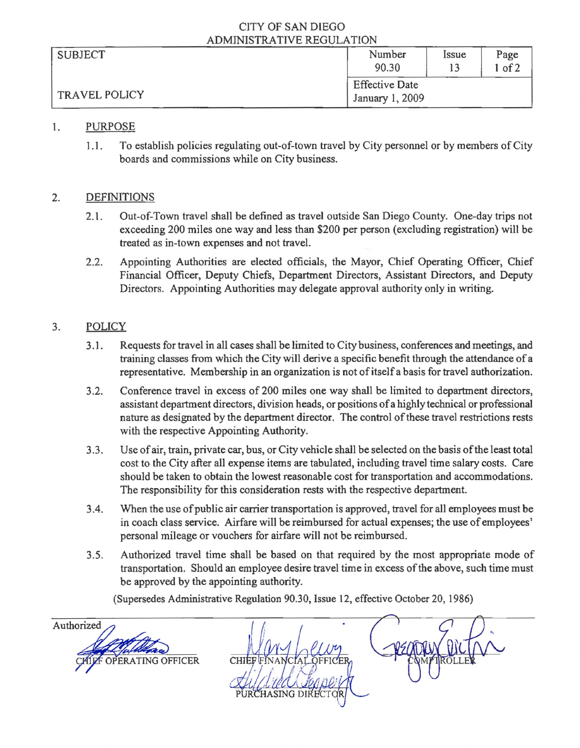#### CITY OF SAN DIEGO ADMINISTRATIVE REGULATION

| <b>SUBJECT</b>       | Number                | Issue | Page |  |
|----------------------|-----------------------|-------|------|--|
|                      | 90.30                 |       | of 2 |  |
| <b>TRAVEL POLICY</b> | <b>Effective Date</b> |       |      |  |
|                      | January 1, 2009       |       |      |  |

## 1. PURPOSE

1.1. To establish policies regulating out-of-town travel by City personnel or by members of City boards and commissions while on City business.

# 2. DEFINITIONS

- 2.1. Out-of-Town travel shall be defined as travel outside San Diego County. One-day trips not exceeding 200 miles one way and less than \$200 per person (excluding registration) will be treated as in-town expenses and not travel.
- 2.2. Appointing Authorities are elected officials, the Mayor, Chief Operating Officer, Chief Financial Officer, Deputy Chiefs, Department Directors, Assistant Directors, and Deputy Directors. Appointing Authorities may delegate approval authority only in writing.

# 3. POLICY

- 3.1. Requests for travel in all cases shall be limited to City business, conferences and meetings, and training classes from which the City will derive a specific benefit through the attendance of a representative. Membership in an organization is not of itself a basis for travel authorization.
- 3.2. Conference travel in excess of 200 miles one way shall be limited to department directors, assistant department directors, division heads, or positions ofa highly technical or professional nature as designated by the department director. The control of these travel restrictions rests with the respective Appointing Authority.
- 3.3. Use ofair, train, private car, bus, or City vehicle shall be selected on the basis ofthe least total cost to the City after all expense items are tabulated, including travel time salary costs. Care should be taken to obtain the lowest reasonable cost for transportation and accommodations. The responsibility for this consideration rests with the respective department.
- 3.4. When the use of public air carrier transportation is approved, travel for all employees must be in coach class service. Airfare will be reimbursed for actual expenses; the use ofemployees' personal mileage or vouchers for airfare will not be reimbursed.
- 3.5. Authorized travel time shall be based on that required by the most appropriate mode of transportation. Should an employee desire travel time in excess of the above, such time must be approved by the appointing authority.

(Supersedes Administrative Regulation 90.30, Issue 12, effective October 20, 1986)

Authorized **ERATING OFFICER CHIEF**FINAN PURCHASING DI